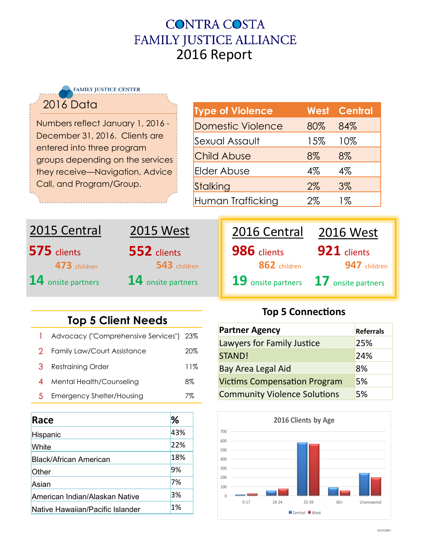### **CONTRA COSTA** FAMILY JUSTICE ALLIANCE 2016 Report

**FAMILY JUSTICE CENTER** 

#### 2016 Data

Numbers reflect January 1, 2016 - December 31, 2016. Clients are entered into three program groups depending on the services they receive—Navigation, Advice Call, and Program/Group.

| <b>Type of Violence</b> |       | <b>West Central</b> |
|-------------------------|-------|---------------------|
| Domestic Violence       | 80%   | 84%                 |
| Sexual Assault          | 15%   | 10%                 |
| <b>Child Abuse</b>      | 8%    | 8%                  |
| Elder Abuse             | $4\%$ | $4\%$               |
| Stalking                | $2\%$ | 3%                  |
| Human Trafficking       | 2%    | 1%                  |

# **575** clients 2015 Central **473** children **14** onsite partners **14** onsite partners **19** onsite partners **17** onsite partners



| 2016 Central       | <b>2016 West</b>   |
|--------------------|--------------------|
| <b>986</b> clients | 921 clients        |
| 862 children       | 947 children       |
| 19 onsite partners | 17 onsite partners |

### **Top 5 Client Needs**

|               | Advocacy ("Comprehensive Services") 23% |     |
|---------------|-----------------------------------------|-----|
|               | 2 Family Law/Court Assistance           | 20% |
| 3             | <b>Restraining Order</b>                | 11% |
|               | Mental Health/Counseling                | 8%  |
| $\mathcal{D}$ | <b>Emergency Shelter/Housing</b>        | 7%  |

| Race                             | ℅   |
|----------------------------------|-----|
| Hispanic                         | 43% |
| White                            | 22% |
| <b>Black/African American</b>    | 18% |
| Other                            | 9%  |
| Asian                            | 7%  |
| American Indian/Alaskan Native   | 3%  |
| Native Hawaiian/Pacific Islander | 1%  |

#### **Top 5 Connections**

| <b>Partner Agency</b>               | <b>Referrals</b> |
|-------------------------------------|------------------|
| Lawyers for Family Justice          | 25%              |
| STAND!                              | 24%              |
| <b>Bay Area Legal Aid</b>           | 8%               |
| <b>Victims Compensation Program</b> | 5%               |
| <b>Community Violence Solutions</b> | 5%               |